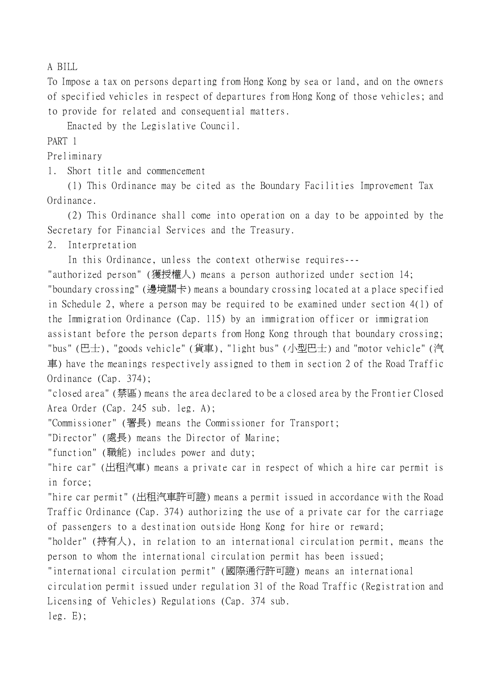A BILL

To Impose a tax on persons departing from Hong Kong by sea or land, and on the owners of specified vehicles in respect of departures from Hong Kong of those vehicles; and to provide for related and consequential matters.

Enacted by the Legislative Council.

PART 1

Preliminary

1. Short title and commencement

(1) This Ordinance may be cited as the Boundary Facilities Improvement Tax Ordinance.

(2) This Ordinance shall come into operation on a day to be appointed by the Secretary for Financial Services and the Treasury.

2. Interpretation

In this Ordinance, unless the context otherwise requires---

"authorized person" (獲授權㆟) means a person authorized under section 14; "boundary crossing" (邊境關卡) means a boundary crossing located at a place specified in Schedule 2, where a person may be required to be examined under section 4(1) of the Immigration Ordinance (Cap. 115) by an immigration officer or immigration assistant before the person departs from Hong Kong through that boundary crossing; "bus" (巴士), "goods vehicle" (貨車), "light bus" (小型巴士) and "motor vehicle" (汽 車) have the meanings respectively assigned to them in section 2 of the Road Traffic Ordinance (Cap. 374);

"closed area" (禁區) means the area declared to be a closed area by the Frontier Closed Area Order (Cap. 245 sub. leg. A);

"Commissioner" (署長) means the Commissioner for Transport;

"Director" (處長) means the Director of Marine;

"function" (職能) includes power and duty;

"hire car" (出租汽車) means a private car in respect of which a hire car permit is in force;

"hire car permit" (出租汽車許可證) means a permit issued in accordance with the Road Traffic Ordinance (Cap. 374) authorizing the use of a private car for the carriage of passengers to a destination outside Hong Kong for hire or reward;

"holder" (持有㆟), in relation to an international circulation permit, means the person to whom the international circulation permit has been issued;

"international circulation permit" (國際通行許可證) means an international

circulation permit issued under regulation 31 of the Road Traffic (Registration and Licensing of Vehicles) Regulations (Cap. 374 sub.

leg. E);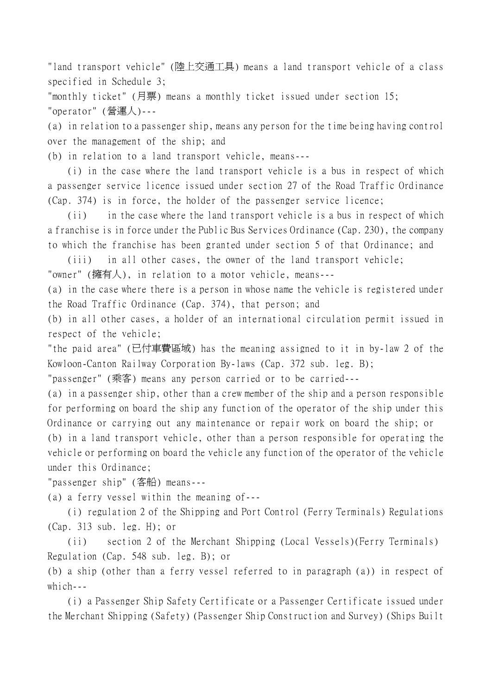"land transport vehicle" (陸㆖交通工具) means a land transport vehicle of a class specified in Schedule 3;

"monthly ticket" (月票) means a monthly ticket issued under section 15; "operator" (營運㆟)---

(a) in relation to a passenger ship, means any person for the time being having control over the management of the ship; and

(b) in relation to a land transport vehicle, means---

(i) in the case where the land transport vehicle is a bus in respect of which a passenger service licence issued under section 27 of the Road Traffic Ordinance (Cap. 374) is in force, the holder of the passenger service licence;

(ii) in the case where the land transport vehicle is a bus in respect of which a franchise is in force under the Public Bus Services Ordinance (Cap. 230), the company to which the franchise has been granted under section 5 of that Ordinance; and

(iii) in all other cases, the owner of the land transport vehicle; "owner" (擁有㆟), in relation to a motor vehicle, means---

(a) in the case where there is a person in whose name the vehicle is registered under the Road Traffic Ordinance (Cap. 374), that person; and

(b) in all other cases, a holder of an international circulation permit issued in respect of the vehicle;

"the paid area" (已付車費區域) has the meaning assigned to it in by-law 2 of the Kowloon-Canton Railway Corporation By-laws (Cap. 372 sub. leg. B);

"passenger" (乘客) means any person carried or to be carried---

(a) in a passenger ship, other than a crew member of the ship and a person responsible for performing on board the ship any function of the operator of the ship under this Ordinance or carrying out any maintenance or repair work on board the ship; or (b) in a land transport vehicle, other than a person responsible for operating the vehicle or performing on board the vehicle any function of the operator of the vehicle under this Ordinance;

"passenger ship" (客船) means---

(a) a ferry vessel within the meaning of---

(i) regulation 2 of the Shipping and Port Control (Ferry Terminals) Regulations (Cap. 313 sub. leg. H); or

(ii) section 2 of the Merchant Shipping (Local Vessels)(Ferry Terminals) Regulation (Cap. 548 sub. leg. B); or

(b) a ship (other than a ferry vessel referred to in paragraph (a)) in respect of which  $-$ 

(i) a Passenger Ship Safety Certificate or a Passenger Certificate issued under the Merchant Shipping (Safety) (Passenger Ship Construction and Survey) (Ships Built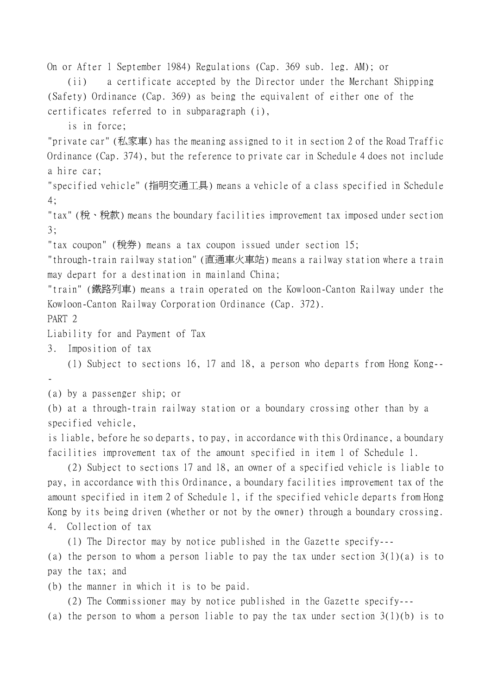On or After 1 September 1984) Regulations (Cap. 369 sub. leg. AM); or (ii) a certificate accepted by the Director under the Merchant Shipping (Safety) Ordinance (Cap. 369) as being the equivalent of either one of the certificates referred to in subparagraph (i), is in force; "private car" (私家車) has the meaning assigned to it in section 2 of the Road Traffic Ordinance (Cap. 374), but the reference to private car in Schedule 4 does not include a hire car; "specified vehicle" (指明交通工具) means a vehicle of a class specified in Schedule 4; "tax" (稅、稅款) means the boundary facilities improvement tax imposed under section 3; "tax coupon" (稅券) means a tax coupon issued under section 15; "through-train railway station" (直通車火車站) means a railway station where a train may depart for a destination in mainland China; "train" (鐵路列車) means a train operated on the Kowloon-Canton Railway under the Kowloon-Canton Railway Corporation Ordinance (Cap. 372). PART 2 Liability for and Payment of Tax 3. Imposition of tax (1) Subject to sections 16, 17 and 18, a person who departs from Hong Kong-- - (a) by a passenger ship; or (b) at a through-train railway station or a boundary crossing other than by a specified vehicle, is liable, before he so departs, to pay, in accordance with this Ordinance, a boundary facilities improvement tax of the amount specified in item 1 of Schedule 1. (2) Subject to sections 17 and 18, an owner of a specified vehicle is liable to pay, in accordance with this Ordinance, a boundary facilities improvement tax of the amount specified in item 2 of Schedule 1, if the specified vehicle departs from Hong Kong by its being driven (whether or not by the owner) through a boundary crossing. 4. Collection of tax (1) The Director may by notice published in the Gazette specify--- (a) the person to whom a person liable to pay the tax under section  $3(1)(a)$  is to pay the tax; and

(b) the manner in which it is to be paid.

(2) The Commissioner may by notice published in the Gazette specify---

(a) the person to whom a person liable to pay the tax under section 3(1)(b) is to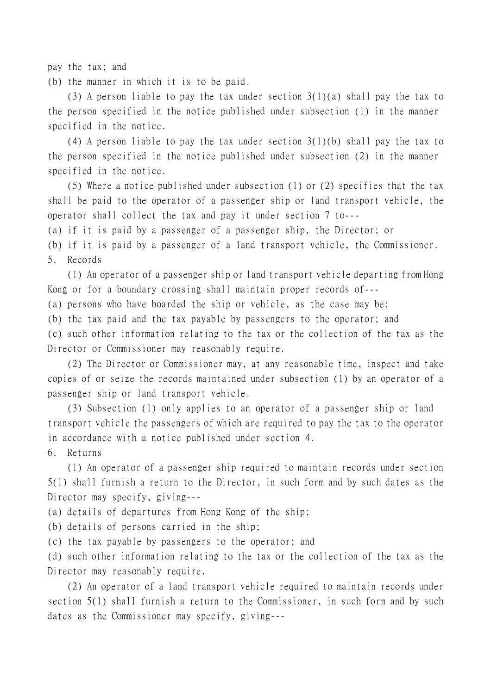pay the tax; and

(b) the manner in which it is to be paid.

(3) A person liable to pay the tax under section 3(1)(a) shall pay the tax to the person specified in the notice published under subsection (1) in the manner specified in the notice.

(4) A person liable to pay the tax under section  $3(1)(b)$  shall pay the tax to the person specified in the notice published under subsection (2) in the manner specified in the notice.

(5) Where a notice published under subsection (1) or (2) specifies that the tax shall be paid to the operator of a passenger ship or land transport vehicle, the operator shall collect the tax and pay it under section 7 to---

(a) if it is paid by a passenger of a passenger ship, the Director; or

(b) if it is paid by a passenger of a land transport vehicle, the Commissioner. 5. Records

(1) An operator of a passenger ship or land transport vehicle departing from Hong Kong or for a boundary crossing shall maintain proper records of---

(a) persons who have boarded the ship or vehicle, as the case may be;

(b) the tax paid and the tax payable by passengers to the operator; and

(c) such other information relating to the tax or the collection of the tax as the Director or Commissioner may reasonably require.

(2) The Director or Commissioner may, at any reasonable time, inspect and take copies of or seize the records maintained under subsection (1) by an operator of a passenger ship or land transport vehicle.

(3) Subsection (1) only applies to an operator of a passenger ship or land transport vehicle the passengers of which are required to pay the tax to the operator in accordance with a notice published under section 4.

6. Returns

(1) An operator of a passenger ship required to maintain records under section 5(1) shall furnish a return to the Director, in such form and by such dates as the Director may specify, giving---

(a) details of departures from Hong Kong of the ship;

(b) details of persons carried in the ship;

(c) the tax payable by passengers to the operator; and

(d) such other information relating to the tax or the collection of the tax as the Director may reasonably require.

(2) An operator of a land transport vehicle required to maintain records under section 5(1) shall furnish a return to the Commissioner, in such form and by such dates as the Commissioner may specify, giving---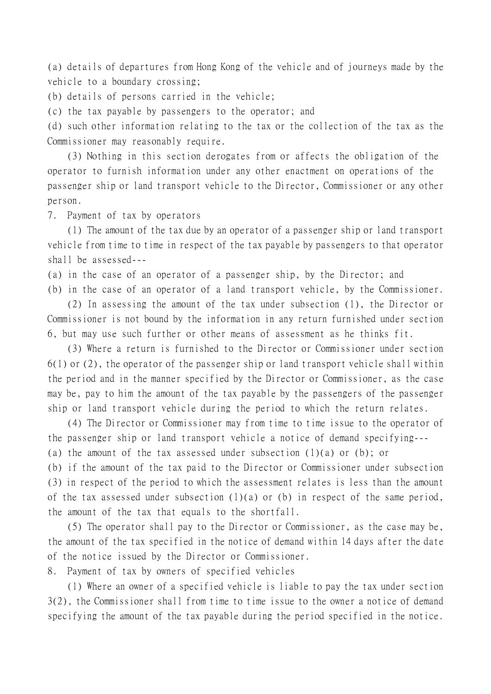(a) details of departures from Hong Kong of the vehicle and of journeys made by the vehicle to a boundary crossing;

(b) details of persons carried in the vehicle;

(c) the tax payable by passengers to the operator; and

(d) such other information relating to the tax or the collection of the tax as the Commissioner may reasonably require.

(3) Nothing in this section derogates from or affects the obligation of the operator to furnish information under any other enactment on operations of the passenger ship or land transport vehicle to the Director, Commissioner or any other person.

7. Payment of tax by operators

(1) The amount of the tax due by an operator of a passenger ship or land transport vehicle from time to time in respect of the tax payable by passengers to that operator shall be assessed---

(a) in the case of an operator of a passenger ship, by the Director; and

(b) in the case of an operator of a land transport vehicle, by the Commissioner.

(2) In assessing the amount of the tax under subsection (1), the Director or Commissioner is not bound by the information in any return furnished under section 6, but may use such further or other means of assessment as he thinks fit.

(3) Where a return is furnished to the Director or Commissioner under section 6(1) or (2), the operator of the passenger ship or land transport vehicle shall within the period and in the manner specified by the Director or Commissioner, as the case may be, pay to him the amount of the tax payable by the passengers of the passenger ship or land transport vehicle during the period to which the return relates.

(4) The Director or Commissioner may from time to time issue to the operator of the passenger ship or land transport vehicle a notice of demand specifying---

(a) the amount of the tax assessed under subsection  $(1)(a)$  or (b); or

(b) if the amount of the tax paid to the Director or Commissioner under subsection (3) in respect of the period to which the assessment relates is less than the amount of the tax assessed under subsection (1)(a) or (b) in respect of the same period, the amount of the tax that equals to the shortfall.

(5) The operator shall pay to the Director or Commissioner, as the case may be, the amount of the tax specified in the notice of demand within 14 days after the date of the notice issued by the Director or Commissioner.

8. Payment of tax by owners of specified vehicles

(1) Where an owner of a specified vehicle is liable to pay the tax under section 3(2), the Commissioner shall from time to time issue to the owner a notice of demand specifying the amount of the tax payable during the period specified in the notice.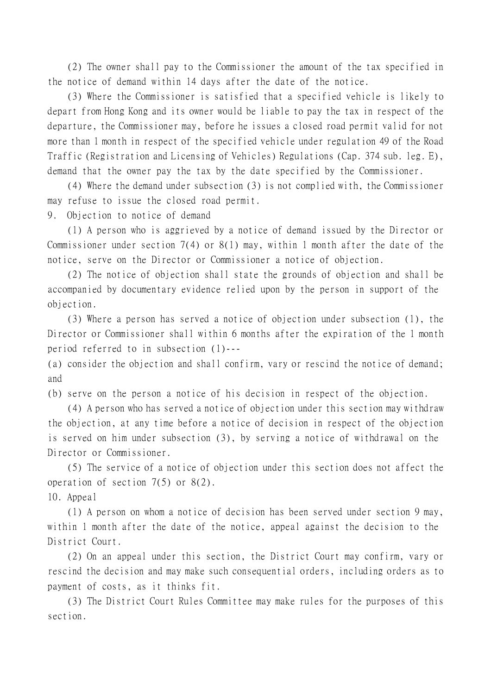(2) The owner shall pay to the Commissioner the amount of the tax specified in the notice of demand within 14 days after the date of the notice.

(3) Where the Commissioner is satisfied that a specified vehicle is likely to depart from Hong Kong and its owner would be liable to pay the tax in respect of the departure, the Commissioner may, before he issues a closed road permit valid for not more than 1 month in respect of the specified vehicle under regulation 49 of the Road Traffic (Registration and Licensing of Vehicles) Regulations (Cap. 374 sub. leg. E), demand that the owner pay the tax by the date specified by the Commissioner.

(4) Where the demand under subsection (3) is not complied with, the Commissioner may refuse to issue the closed road permit.

9. Objection to notice of demand

(1) A person who is aggrieved by a notice of demand issued by the Director or Commissioner under section 7(4) or 8(1) may, within 1 month after the date of the notice, serve on the Director or Commissioner a notice of objection.

(2) The notice of objection shall state the grounds of objection and shall be accompanied by documentary evidence relied upon by the person in support of the objection.

(3) Where a person has served a notice of objection under subsection (1), the Director or Commissioner shall within 6 months after the expiration of the 1 month period referred to in subsection (1)---

(a) consider the objection and shall confirm, vary or rescind the notice of demand; and

(b) serve on the person a notice of his decision in respect of the objection.

(4) A person who has served a notice of objection under this section may withdraw the objection, at any time before a notice of decision in respect of the objection is served on him under subsection (3), by serving a notice of withdrawal on the Director or Commissioner.

(5) The service of a notice of objection under this section does not affect the operation of section 7(5) or 8(2).

10. Appeal

(1) A person on whom a notice of decision has been served under section 9 may, within 1 month after the date of the notice, appeal against the decision to the District Court.

(2) On an appeal under this section, the District Court may confirm, vary or rescind the decision and may make such consequential orders, including orders as to payment of costs, as it thinks fit.

(3) The District Court Rules Committee may make rules for the purposes of this section.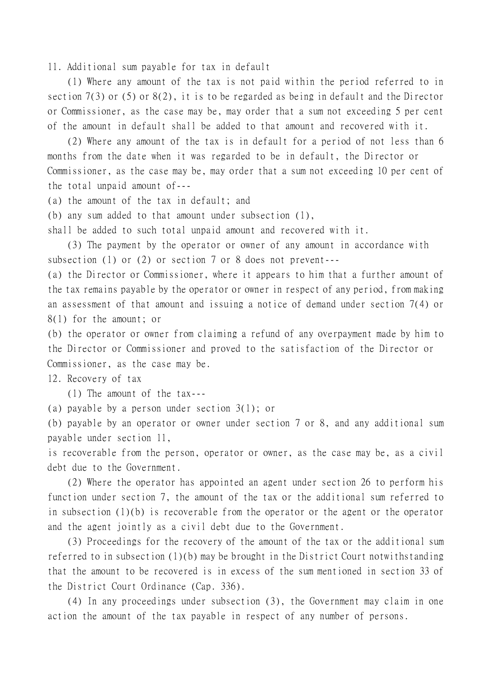11. Additional sum payable for tax in default

(1) Where any amount of the tax is not paid within the period referred to in section 7(3) or (5) or 8(2), it is to be regarded as being in default and the Director or Commissioner, as the case may be, may order that a sum not exceeding 5 per cent of the amount in default shall be added to that amount and recovered with it.

(2) Where any amount of the tax is in default for a period of not less than 6 months from the date when it was regarded to be in default, the Director or Commissioner, as the case may be, may order that a sum not exceeding 10 per cent of the total unpaid amount of---

(a) the amount of the tax in default; and

(b) any sum added to that amount under subsection (1),

shall be added to such total unpaid amount and recovered with it.

(3) The payment by the operator or owner of any amount in accordance with subsection (1) or (2) or section 7 or 8 does not prevent---

(a) the Director or Commissioner, where it appears to him that a further amount of the tax remains payable by the operator or owner in respect of any period, from making an assessment of that amount and issuing a notice of demand under section 7(4) or 8(1) for the amount; or

(b) the operator or owner from claiming a refund of any overpayment made by him to the Director or Commissioner and proved to the satisfaction of the Director or Commissioner, as the case may be.

12. Recovery of tax

(1) The amount of the tax---

(a) payable by a person under section 3(1); or

(b) payable by an operator or owner under section 7 or 8, and any additional sum payable under section 11,

is recoverable from the person, operator or owner, as the case may be, as a civil debt due to the Government.

(2) Where the operator has appointed an agent under section 26 to perform his function under section 7, the amount of the tax or the additional sum referred to in subsection (1)(b) is recoverable from the operator or the agent or the operator and the agent jointly as a civil debt due to the Government.

(3) Proceedings for the recovery of the amount of the tax or the additional sum referred to in subsection (1)(b) may be brought in the District Court notwithstanding that the amount to be recovered is in excess of the sum mentioned in section 33 of the District Court Ordinance (Cap. 336).

(4) In any proceedings under subsection (3), the Government may claim in one action the amount of the tax payable in respect of any number of persons.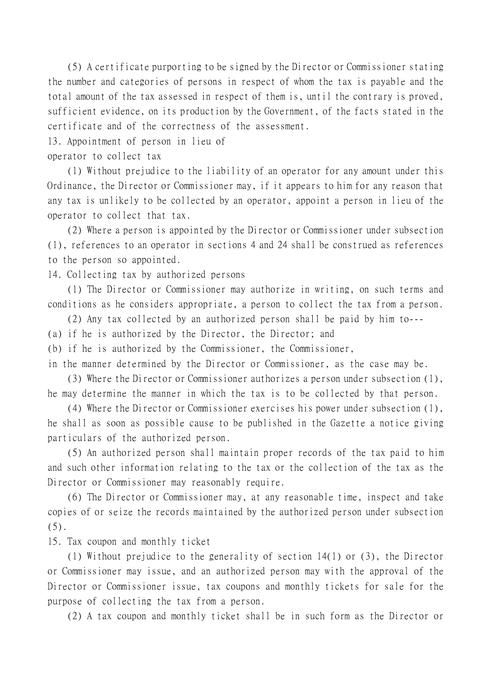(5) A certificate purporting to be signed by the Director or Commissioner stating the number and categories of persons in respect of whom the tax is payable and the total amount of the tax assessed in respect of them is, until the contrary is proved, sufficient evidence, on its production by the Government, of the facts stated in the certificate and of the correctness of the assessment.

13. Appointment of person in lieu of

operator to collect tax

(1) Without prejudice to the liability of an operator for any amount under this Ordinance, the Director or Commissioner may, if it appears to him for any reason that any tax is unlikely to be collected by an operator, appoint a person in lieu of the operator to collect that tax.

(2) Where a person is appointed by the Director or Commissioner under subsection (1), references to an operator in sections 4 and 24 shall be construed as references to the person so appointed.

14. Collecting tax by authorized persons

(1) The Director or Commissioner may authorize in writing, on such terms and conditions as he considers appropriate, a person to collect the tax from a person.

(2) Any tax collected by an authorized person shall be paid by him to---

(a) if he is authorized by the Director, the Director; and

(b) if he is authorized by the Commissioner, the Commissioner,

in the manner determined by the Director or Commissioner, as the case may be.

(3) Where the Director or Commissioner authorizes a person under subsection (1), he may determine the manner in which the tax is to be collected by that person.

(4) Where the Director or Commissioner exercises his power under subsection (1), he shall as soon as possible cause to be published in the Gazette a notice giving particulars of the authorized person.

(5) An authorized person shall maintain proper records of the tax paid to him and such other information relating to the tax or the collection of the tax as the Director or Commissioner may reasonably require.

(6) The Director or Commissioner may, at any reasonable time, inspect and take copies of or seize the records maintained by the authorized person under subsection  $(5).$ 

15. Tax coupon and monthly ticket

(1) Without prejudice to the generality of section 14(1) or (3), the Director or Commissioner may issue, and an authorized person may with the approval of the Director or Commissioner issue, tax coupons and monthly tickets for sale for the purpose of collecting the tax from a person.

(2) A tax coupon and monthly ticket shall be in such form as the Director or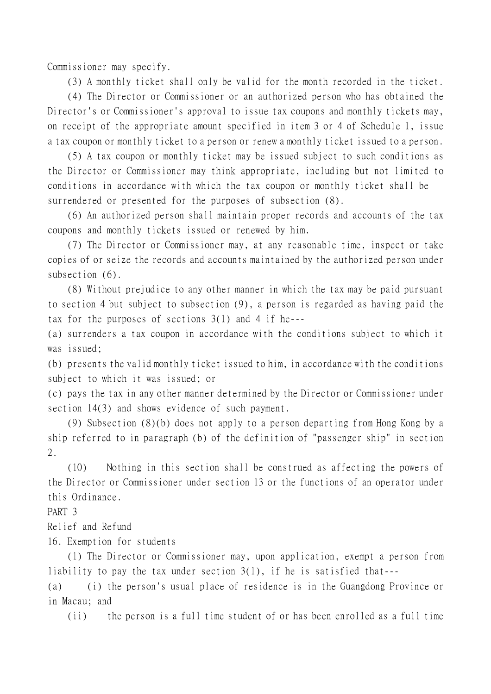Commissioner may specify.

(3) A monthly ticket shall only be valid for the month recorded in the ticket.

(4) The Director or Commissioner or an authorized person who has obtained the Director's or Commissioner's approval to issue tax coupons and monthly tickets may, on receipt of the appropriate amount specified in item 3 or 4 of Schedule 1, issue a tax coupon or monthly ticket to a person or renew a monthly ticket issued to a person.

(5) A tax coupon or monthly ticket may be issued subject to such conditions as the Director or Commissioner may think appropriate, including but not limited to conditions in accordance with which the tax coupon or monthly ticket shall be surrendered or presented for the purposes of subsection (8).

(6) An authorized person shall maintain proper records and accounts of the tax coupons and monthly tickets issued or renewed by him.

(7) The Director or Commissioner may, at any reasonable time, inspect or take copies of or seize the records and accounts maintained by the authorized person under subsection (6).

(8) Without prejudice to any other manner in which the tax may be paid pursuant to section 4 but subject to subsection (9), a person is regarded as having paid the tax for the purposes of sections 3(1) and 4 if he---

(a) surrenders a tax coupon in accordance with the conditions subject to which it was issued;

(b) presents the valid monthly ticket issued to him, in accordance with the conditions subject to which it was issued; or

(c) pays the tax in any other manner determined by the Director or Commissioner under section 14(3) and shows evidence of such payment.

(9) Subsection (8)(b) does not apply to a person departing from Hong Kong by a ship referred to in paragraph (b) of the definition of "passenger ship" in section 2.

(10) Nothing in this section shall be construed as affecting the powers of the Director or Commissioner under section 13 or the functions of an operator under this Ordinance.

PART 3

Relief and Refund

16. Exemption for students

(1) The Director or Commissioner may, upon application, exempt a person from liability to pay the tax under section 3(1), if he is satisfied that---

(a) (i) the person's usual place of residence is in the Guangdong Province or in Macau; and

(ii) the person is a full time student of or has been enrolled as a full time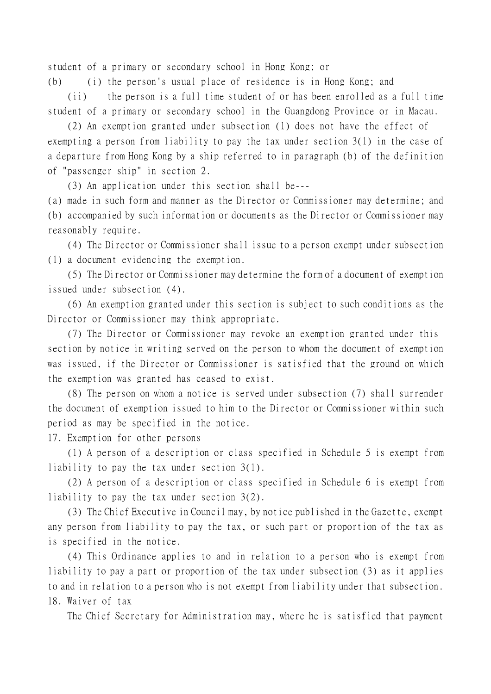student of a primary or secondary school in Hong Kong; or

(b) (i) the person's usual place of residence is in Hong Kong; and

(ii) the person is a full time student of or has been enrolled as a full time student of a primary or secondary school in the Guangdong Province or in Macau.

(2) An exemption granted under subsection (1) does not have the effect of exempting a person from liability to pay the tax under section 3(1) in the case of a departure from Hong Kong by a ship referred to in paragraph (b) of the definition of "passenger ship" in section 2.

(3) An application under this section shall be---

(a) made in such form and manner as the Director or Commissioner may determine; and (b) accompanied by such information or documents as the Director or Commissioner may reasonably require.

(4) The Director or Commissioner shall issue to a person exempt under subsection (1) a document evidencing the exemption.

(5) The Director or Commissioner may determine the form of a document of exemption issued under subsection (4).

(6) An exemption granted under this section is subject to such conditions as the Director or Commissioner may think appropriate.

(7) The Director or Commissioner may revoke an exemption granted under this section by notice in writing served on the person to whom the document of exemption was issued, if the Director or Commissioner is satisfied that the ground on which the exemption was granted has ceased to exist.

(8) The person on whom a notice is served under subsection (7) shall surrender the document of exemption issued to him to the Director or Commissioner within such period as may be specified in the notice.

17. Exemption for other persons

(1) A person of a description or class specified in Schedule 5 is exempt from liability to pay the tax under section 3(1).

(2) A person of a description or class specified in Schedule 6 is exempt from liability to pay the tax under section 3(2).

(3) The Chief Executive in Council may, by notice published in the Gazette, exempt any person from liability to pay the tax, or such part or proportion of the tax as is specified in the notice.

(4) This Ordinance applies to and in relation to a person who is exempt from liability to pay a part or proportion of the tax under subsection (3) as it applies to and in relation to a person who is not exempt from liability under that subsection. 18. Waiver of tax

The Chief Secretary for Administration may, where he is satisfied that payment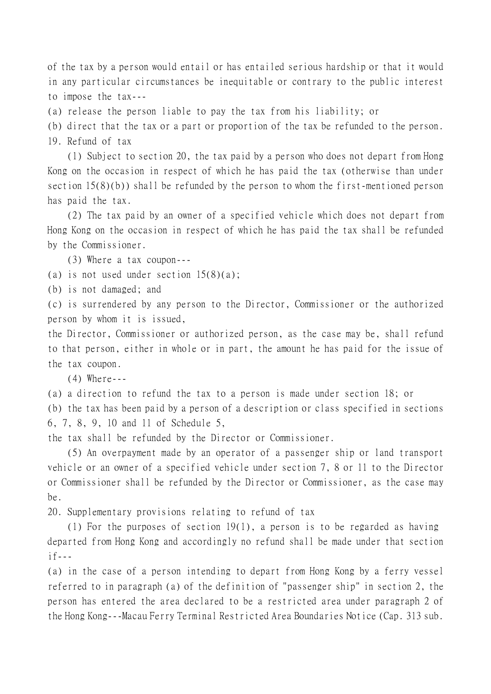of the tax by a person would entail or has entailed serious hardship or that it would in any particular circumstances be inequitable or contrary to the public interest to impose the tax---

(a) release the person liable to pay the tax from his liability; or

(b) direct that the tax or a part or proportion of the tax be refunded to the person. 19. Refund of tax

(1) Subject to section 20, the tax paid by a person who does not depart from Hong Kong on the occasion in respect of which he has paid the tax (otherwise than under section 15(8)(b)) shall be refunded by the person to whom the first-mentioned person has paid the tax.

(2) The tax paid by an owner of a specified vehicle which does not depart from Hong Kong on the occasion in respect of which he has paid the tax shall be refunded by the Commissioner.

(3) Where a tax coupon---

(a) is not used under section  $15(8)(a)$ ;

(b) is not damaged; and

(c) is surrendered by any person to the Director, Commissioner or the authorized person by whom it is issued,

the Director, Commissioner or authorized person, as the case may be, shall refund to that person, either in whole or in part, the amount he has paid for the issue of the tax coupon.

(4) Where---

(a) a direction to refund the tax to a person is made under section 18; or

(b) the tax has been paid by a person of a description or class specified in sections 6, 7, 8, 9, 10 and 11 of Schedule 5,

the tax shall be refunded by the Director or Commissioner.

(5) An overpayment made by an operator of a passenger ship or land transport vehicle or an owner of a specified vehicle under section 7, 8 or 11 to the Director or Commissioner shall be refunded by the Director or Commissioner, as the case may be.

20. Supplementary provisions relating to refund of tax

(1) For the purposes of section 19(1), a person is to be regarded as having departed from Hong Kong and accordingly no refund shall be made under that section  $if---$ 

(a) in the case of a person intending to depart from Hong Kong by a ferry vessel referred to in paragraph (a) of the definition of "passenger ship" in section 2, the person has entered the area declared to be a restricted area under paragraph 2 of the Hong Kong---Macau Ferry Terminal Restricted Area Boundaries Notice (Cap. 313 sub.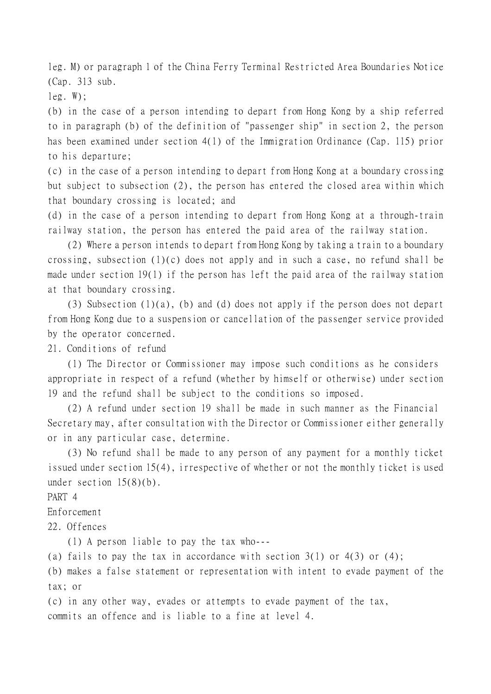leg. M) or paragraph 1 of the China Ferry Terminal Restricted Area Boundaries Notice (Cap. 313 sub.

 $leg. W)$ ;

(b) in the case of a person intending to depart from Hong Kong by a ship referred to in paragraph (b) of the definition of "passenger ship" in section 2, the person has been examined under section 4(1) of the Immigration Ordinance (Cap. 115) prior to his departure;

(c) in the case of a person intending to depart from Hong Kong at a boundary crossing but subject to subsection (2), the person has entered the closed area within which that boundary crossing is located; and

(d) in the case of a person intending to depart from Hong Kong at a through-train railway station, the person has entered the paid area of the railway station.

(2) Where a person intends to depart from Hong Kong by taking a train to a boundary crossing, subsection (1)(c) does not apply and in such a case, no refund shall be made under section 19(1) if the person has left the paid area of the railway station at that boundary crossing.

(3) Subsection (1)(a), (b) and (d) does not apply if the person does not depart from Hong Kong due to a suspension or cancellation of the passenger service provided by the operator concerned.

21. Conditions of refund

(1) The Director or Commissioner may impose such conditions as he considers appropriate in respect of a refund (whether by himself or otherwise) under section 19 and the refund shall be subject to the conditions so imposed.

(2) A refund under section 19 shall be made in such manner as the Financial Secretary may, after consultation with the Director or Commissioner either generally or in any particular case, determine.

(3) No refund shall be made to any person of any payment for a monthly ticket issued under section 15(4), irrespective of whether or not the monthly ticket is used under section  $15(8)(b)$ .

PART 4

Enforcement

22. Offences

(1) A person liable to pay the tax who---

(a) fails to pay the tax in accordance with section  $3(1)$  or  $4(3)$  or  $(4)$ ;

(b) makes a false statement or representation with intent to evade payment of the tax; or

(c) in any other way, evades or attempts to evade payment of the tax, commits an offence and is liable to a fine at level 4.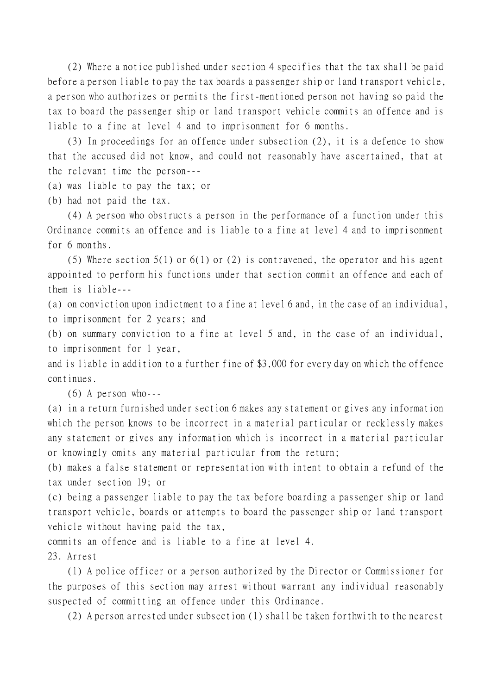(2) Where a notice published under section 4 specifies that the tax shall be paid before a person liable to pay the tax boards a passenger ship or land transport vehicle, a person who authorizes or permits the first-mentioned person not having so paid the tax to board the passenger ship or land transport vehicle commits an offence and is liable to a fine at level 4 and to imprisonment for 6 months.

(3) In proceedings for an offence under subsection (2), it is a defence to show that the accused did not know, and could not reasonably have ascertained, that at the relevant time the person---

(a) was liable to pay the tax; or

(b) had not paid the tax.

(4) A person who obstructs a person in the performance of a function under this Ordinance commits an offence and is liable to a fine at level 4 and to imprisonment for 6 months.

(5) Where section 5(1) or 6(1) or (2) is contravened, the operator and his agent appointed to perform his functions under that section commit an offence and each of them is liable---

(a) on conviction upon indictment to a fine at level 6 and, in the case of an individual, to imprisonment for 2 years; and

(b) on summary conviction to a fine at level 5 and, in the case of an individual, to imprisonment for 1 year,

and is liable in addition to a further fine of \$3,000 for every day on which the offence continues.

 $(6)$  A person who---

(a) in a return furnished under section 6 makes any statement or gives any information which the person knows to be incorrect in a material particular or recklessly makes any statement or gives any information which is incorrect in a material particular or knowingly omits any material particular from the return;

(b) makes a false statement or representation with intent to obtain a refund of the tax under section 19; or

(c) being a passenger liable to pay the tax before boarding a passenger ship or land transport vehicle, boards or attempts to board the passenger ship or land transport vehicle without having paid the tax,

commits an offence and is liable to a fine at level 4.

23. Arrest

(1) A police officer or a person authorized by the Director or Commissioner for the purposes of this section may arrest without warrant any individual reasonably suspected of committing an offence under this Ordinance.

(2) A person arrested under subsection (1) shall be taken forthwith to the nearest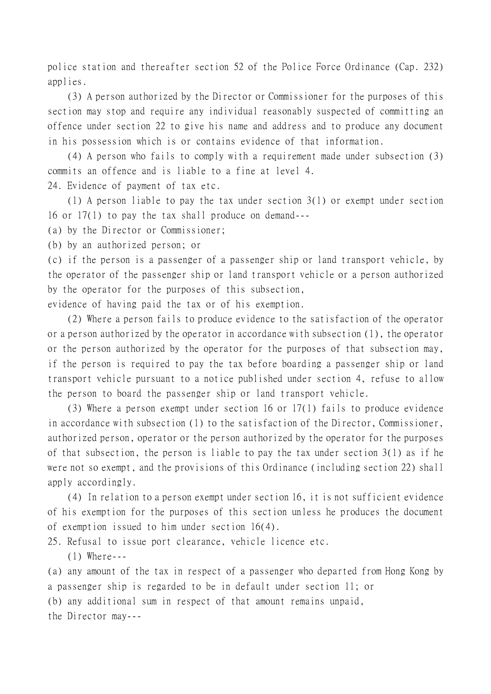police station and thereafter section 52 of the Police Force Ordinance (Cap. 232) applies.

(3) A person authorized by the Director or Commissioner for the purposes of this section may stop and require any individual reasonably suspected of committing an offence under section 22 to give his name and address and to produce any document in his possession which is or contains evidence of that information.

(4) A person who fails to comply with a requirement made under subsection (3) commits an offence and is liable to a fine at level 4.

24. Evidence of payment of tax etc.

(1) A person liable to pay the tax under section 3(1) or exempt under section 16 or 17(1) to pay the tax shall produce on demand---

(a) by the Director or Commissioner;

(b) by an authorized person; or

(c) if the person is a passenger of a passenger ship or land transport vehicle, by the operator of the passenger ship or land transport vehicle or a person authorized by the operator for the purposes of this subsection,

evidence of having paid the tax or of his exemption.

(2) Where a person fails to produce evidence to the satisfaction of the operator or a person authorized by the operator in accordance with subsection (1), the operator or the person authorized by the operator for the purposes of that subsection may, if the person is required to pay the tax before boarding a passenger ship or land transport vehicle pursuant to a notice published under section 4, refuse to allow the person to board the passenger ship or land transport vehicle.

(3) Where a person exempt under section 16 or 17(1) fails to produce evidence in accordance with subsection (1) to the satisfaction of the Director, Commissioner, authorized person, operator or the person authorized by the operator for the purposes of that subsection, the person is liable to pay the tax under section 3(1) as if he were not so exempt, and the provisions of this Ordinance (including section 22) shall apply accordingly.

(4) In relation to a person exempt under section 16, it is not sufficient evidence of his exemption for the purposes of this section unless he produces the document of exemption issued to him under section 16(4).

25. Refusal to issue port clearance, vehicle licence etc.

(1) Where---

(a) any amount of the tax in respect of a passenger who departed from Hong Kong by a passenger ship is regarded to be in default under section 11; or (b) any additional sum in respect of that amount remains unpaid, the Director may---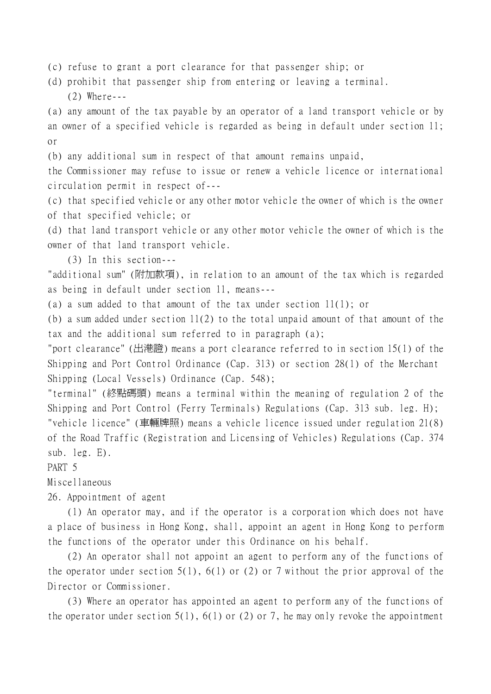(c) refuse to grant a port clearance for that passenger ship; or

(d) prohibit that passenger ship from entering or leaving a terminal. (2) Where---

(a) any amount of the tax payable by an operator of a land transport vehicle or by an owner of a specified vehicle is regarded as being in default under section 11; or

(b) any additional sum in respect of that amount remains unpaid,

the Commissioner may refuse to issue or renew a vehicle licence or international circulation permit in respect of---

(c) that specified vehicle or any other motor vehicle the owner of which is the owner of that specified vehicle; or

(d) that land transport vehicle or any other motor vehicle the owner of which is the owner of that land transport vehicle.

(3) In this section---

"additional sum" (附加款項), in relation to an amount of the tax which is regarded as being in default under section 11, means---

(a) a sum added to that amount of the tax under section 11(1); or

(b) a sum added under section  $11(2)$  to the total unpaid amount of that amount of the tax and the additional sum referred to in paragraph (a);

"port clearance" (出港證) means a port clearance referred to in section 15(1) of the Shipping and Port Control Ordinance (Cap. 313) or section 28(1) of the Merchant Shipping (Local Vessels) Ordinance (Cap. 548);

"terminal" (終點碼頭) means a terminal within the meaning of regulation 2 of the Shipping and Port Control (Ferry Terminals) Regulations (Cap. 313 sub. leg. H); "vehicle licence" (車輛牌照) means a vehicle licence issued under regulation 21(8) of the Road Traffic (Registration and Licensing of Vehicles) Regulations (Cap. 374 sub. leg. E).

PART 5

Miscellaneous

26. Appointment of agent

(1) An operator may, and if the operator is a corporation which does not have a place of business in Hong Kong, shall, appoint an agent in Hong Kong to perform the functions of the operator under this Ordinance on his behalf.

(2) An operator shall not appoint an agent to perform any of the functions of the operator under section 5(1), 6(1) or (2) or 7 without the prior approval of the Director or Commissioner.

(3) Where an operator has appointed an agent to perform any of the functions of the operator under section  $5(1)$ ,  $6(1)$  or (2) or 7, he may only revoke the appointment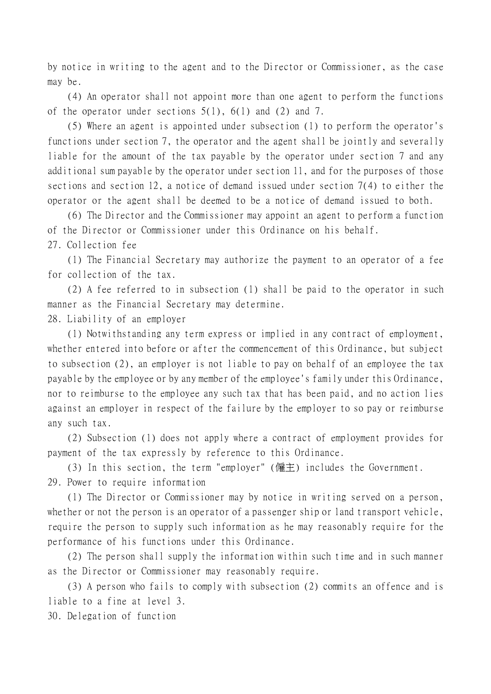by notice in writing to the agent and to the Director or Commissioner, as the case may be.

(4) An operator shall not appoint more than one agent to perform the functions of the operator under sections 5(1), 6(1) and (2) and 7.

(5) Where an agent is appointed under subsection (1) to perform the operator's functions under section 7, the operator and the agent shall be jointly and severally liable for the amount of the tax payable by the operator under section 7 and any additional sum payable by the operator under section 11, and for the purposes of those sections and section 12, a notice of demand issued under section 7(4) to either the operator or the agent shall be deemed to be a notice of demand issued to both.

(6) The Director and the Commissioner may appoint an agent to perform a function of the Director or Commissioner under this Ordinance on his behalf.

27. Collection fee

(1) The Financial Secretary may authorize the payment to an operator of a fee for collection of the tax.

(2) A fee referred to in subsection (1) shall be paid to the operator in such manner as the Financial Secretary may determine.

28. Liability of an employer

(1) Notwithstanding any term express or implied in any contract of employment, whether entered into before or after the commencement of this Ordinance, but subject to subsection (2), an employer is not liable to pay on behalf of an employee the tax payable by the employee or by any member of the employee's family under this Ordinance, nor to reimburse to the employee any such tax that has been paid, and no action lies against an employer in respect of the failure by the employer to so pay or reimburse any such tax.

(2) Subsection (1) does not apply where a contract of employment provides for payment of the tax expressly by reference to this Ordinance.

(3) In this section, the term "employer" (僱主) includes the Government. 29. Power to require information

(1) The Director or Commissioner may by notice in writing served on a person, whether or not the person is an operator of a passenger ship or land transport vehicle, require the person to supply such information as he may reasonably require for the performance of his functions under this Ordinance.

(2) The person shall supply the information within such time and in such manner as the Director or Commissioner may reasonably require.

(3) A person who fails to comply with subsection (2) commits an offence and is liable to a fine at level 3.

30. Delegation of function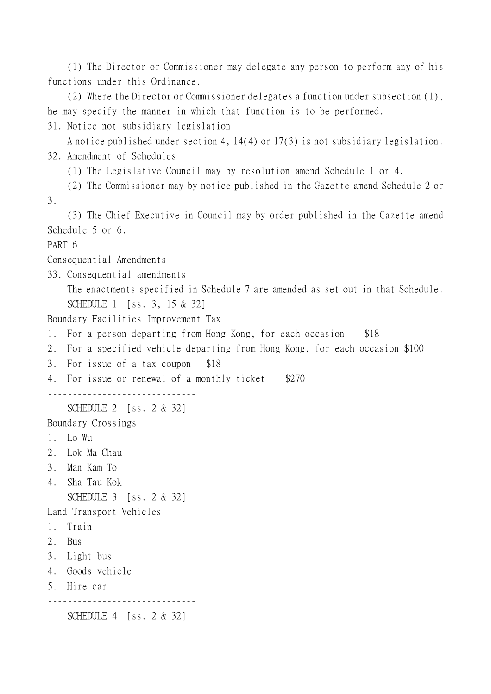(1) The Director or Commissioner may delegate any person to perform any of his functions under this Ordinance.

(2) Where the Director or Commissioner delegates a function under subsection (1), he may specify the manner in which that function is to be performed.

31. Notice not subsidiary legislation

```
A notice published under section 4, 14(4) or 17(3) is not subsidiary legislation.
32. Amendment of Schedules
```
(1) The Legislative Council may by resolution amend Schedule 1 or 4.

(2) The Commissioner may by notice published in the Gazette amend Schedule 2 or 3.

(3) The Chief Executive in Council may by order published in the Gazette amend Schedule 5 or 6.

PART 6

Consequential Amendments

33. Consequential amendments

The enactments specified in Schedule 7 are amended as set out in that Schedule. SCHEDULE 1 [ss. 3, 15 & 32]

Boundary Facilities Improvement Tax

- 1. For a person departing from Hong Kong, for each occasion \$18
- 2. For a specified vehicle departing from Hong Kong, for each occasion \$100
- 3. For issue of a tax coupon \$18
- 4. For issue or renewal of a monthly ticket \$270

------------------------------

SCHEDULE 2 [ss. 2 & 32]

Boundary Crossings

- 1. Lo Wu
- 2. Lok Ma Chau
- 3. Man Kam To
- 4. Sha Tau Kok SCHEDULE 3 [ss. 2 & 32]

Land Transport Vehicles

- 1. Train
- 2. Bus
- 3. Light bus
- 4. Goods vehicle
- 5. Hire car

------------------------------

SCHEDULE 4 [ss. 2 & 32]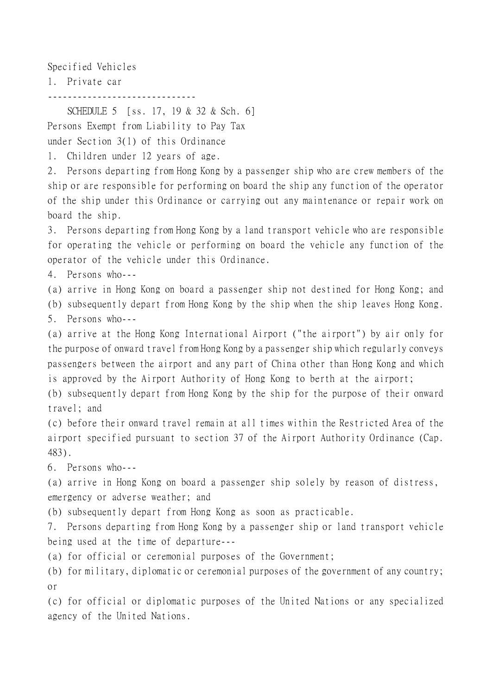Specified Vehicles

1. Private car

------------------------------

SCHEDULE 5 [ss. 17, 19 & 32 & Sch. 6] Persons Exempt from Liability to Pay Tax under Section 3(1) of this Ordinance

1. Children under 12 years of age.

2. Persons departing from Hong Kong by a passenger ship who are crew members of the ship or are responsible for performing on board the ship any function of the operator of the ship under this Ordinance or carrying out any maintenance or repair work on board the ship.

3. Persons departing from Hong Kong by a land transport vehicle who are responsible for operating the vehicle or performing on board the vehicle any function of the operator of the vehicle under this Ordinance.

4. Persons who---

(a) arrive in Hong Kong on board a passenger ship not destined for Hong Kong; and

(b) subsequently depart from Hong Kong by the ship when the ship leaves Hong Kong.

5. Persons who---

(a) arrive at the Hong Kong International Airport ("the airport") by air only for the purpose of onward travel from Hong Kong by a passenger ship which regularly conveys passengers between the airport and any part of China other than Hong Kong and which is approved by the Airport Authority of Hong Kong to berth at the airport;

(b) subsequently depart from Hong Kong by the ship for the purpose of their onward travel; and

(c) before their onward travel remain at all times within the Restricted Area of the airport specified pursuant to section 37 of the Airport Authority Ordinance (Cap. 483).

6. Persons who---

(a) arrive in Hong Kong on board a passenger ship solely by reason of distress, emergency or adverse weather; and

(b) subsequently depart from Hong Kong as soon as practicable.

7. Persons departing from Hong Kong by a passenger ship or land transport vehicle being used at the time of departure---

(a) for official or ceremonial purposes of the Government;

(b) for military, diplomatic or ceremonial purposes of the government of any country; or

(c) for official or diplomatic purposes of the United Nations or any specialized agency of the United Nations.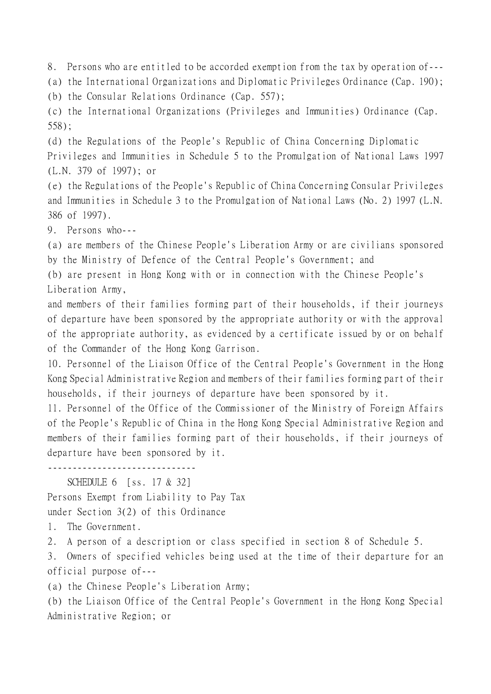8. Persons who are entitled to be accorded exemption from the tax by operation of---

(a) the International Organizations and Diplomatic Privileges Ordinance (Cap. 190);

(b) the Consular Relations Ordinance (Cap. 557);

(c) the International Organizations (Privileges and Immunities) Ordinance (Cap. 558);

(d) the Regulations of the People's Republic of China Concerning Diplomatic Privileges and Immunities in Schedule 5 to the Promulgation of National Laws 1997 (L.N. 379 of 1997); or

(e) the Regulations of the People's Republic of China Concerning Consular Privileges and Immunities in Schedule 3 to the Promulgation of National Laws (No. 2) 1997 (L.N. 386 of 1997).

9. Persons who---

(a) are members of the Chinese People's Liberation Army or are civilians sponsored by the Ministry of Defence of the Central People's Government; and

(b) are present in Hong Kong with or in connection with the Chinese People's Liberation Army,

and members of their families forming part of their households, if their journeys of departure have been sponsored by the appropriate authority or with the approval of the appropriate authority, as evidenced by a certificate issued by or on behalf of the Commander of the Hong Kong Garrison.

10. Personnel of the Liaison Office of the Central People's Government in the Hong Kong Special Administrative Region and members of their families forming part of their households, if their journeys of departure have been sponsored by it.

11. Personnel of the Office of the Commissioner of the Ministry of Foreign Affairs of the People's Republic of China in the Hong Kong Special Administrative Region and members of their families forming part of their households, if their journeys of departure have been sponsored by it.

------------------------------

SCHEDULE 6 [ss. 17 & 32] Persons Exempt from Liability to Pay Tax under Section 3(2) of this Ordinance

1. The Government.

2. A person of a description or class specified in section 8 of Schedule 5.

3. Owners of specified vehicles being used at the time of their departure for an official purpose of---

(a) the Chinese People's Liberation Army;

(b) the Liaison Office of the Central People's Government in the Hong Kong Special Administrative Region; or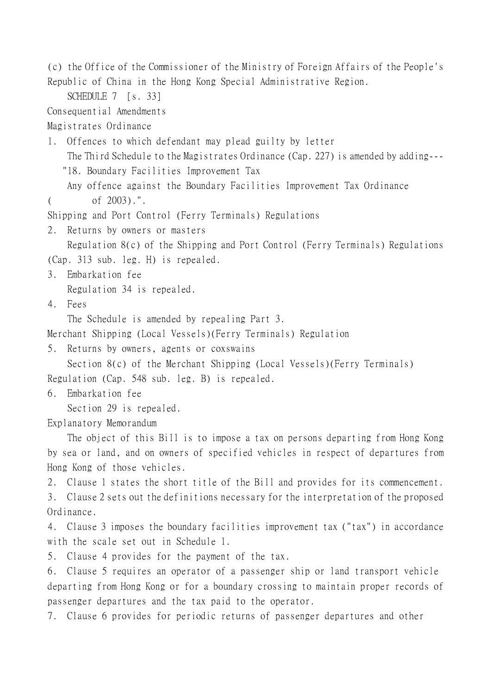(c) the Office of the Commissioner of the Ministry of Foreign Affairs of the People's Republic of China in the Hong Kong Special Administrative Region.

SCHEDULE 7 [s. 33]

Consequential Amendments

Magistrates Ordinance

1. Offences to which defendant may plead guilty by letter

The Third Schedule to the Magistrates Ordinance (Cap. 227) is amended by adding---

"18. Boundary Facilities Improvement Tax

Any offence against the Boundary Facilities Improvement Tax Ordinance  $($  of  $2003)$ .".

Shipping and Port Control (Ferry Terminals) Regulations

2. Returns by owners or masters

Regulation 8(c) of the Shipping and Port Control (Ferry Terminals) Regulations (Cap. 313 sub. leg. H) is repealed.

3. Embarkation fee

Regulation 34 is repealed.

4. Fees

The Schedule is amended by repealing Part 3.

Merchant Shipping (Local Vessels)(Ferry Terminals) Regulation

5. Returns by owners, agents or coxswains

Section 8(c) of the Merchant Shipping (Local Vessels)(Ferry Terminals) Regulation (Cap. 548 sub. leg. B) is repealed.

6. Embarkation fee

Section 29 is repealed.

Explanatory Memorandum

The object of this Bill is to impose a tax on persons departing from Hong Kong by sea or land, and on owners of specified vehicles in respect of departures from Hong Kong of those vehicles.

2. Clause 1 states the short title of the Bill and provides for its commencement.

3. Clause 2 sets out the definitions necessary for the interpretation of the proposed Ordinance.

4. Clause 3 imposes the boundary facilities improvement tax ("tax") in accordance with the scale set out in Schedule 1.

5. Clause 4 provides for the payment of the tax.

6. Clause 5 requires an operator of a passenger ship or land transport vehicle departing from Hong Kong or for a boundary crossing to maintain proper records of passenger departures and the tax paid to the operator.

7. Clause 6 provides for periodic returns of passenger departures and other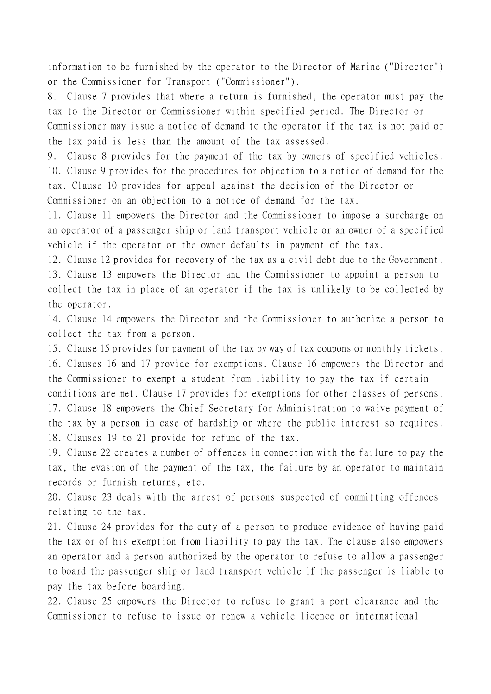information to be furnished by the operator to the Director of Marine ("Director") or the Commissioner for Transport ("Commissioner").

8. Clause 7 provides that where a return is furnished, the operator must pay the tax to the Director or Commissioner within specified period. The Director or Commissioner may issue a notice of demand to the operator if the tax is not paid or the tax paid is less than the amount of the tax assessed.

9. Clause 8 provides for the payment of the tax by owners of specified vehicles. 10. Clause 9 provides for the procedures for objection to a notice of demand for the tax. Clause 10 provides for appeal against the decision of the Director or Commissioner on an objection to a notice of demand for the tax.

11. Clause 11 empowers the Director and the Commissioner to impose a surcharge on an operator of a passenger ship or land transport vehicle or an owner of a specified vehicle if the operator or the owner defaults in payment of the tax.

12. Clause 12 provides for recovery of the tax as a civil debt due to the Government. 13. Clause 13 empowers the Director and the Commissioner to appoint a person to collect the tax in place of an operator if the tax is unlikely to be collected by the operator.

14. Clause 14 empowers the Director and the Commissioner to authorize a person to collect the tax from a person.

15. Clause 15 provides for payment of the tax by way of tax coupons or monthly tickets. 16. Clauses 16 and 17 provide for exemptions. Clause 16 empowers the Director and the Commissioner to exempt a student from liability to pay the tax if certain conditions are met. Clause 17 provides for exemptions for other classes of persons. 17. Clause 18 empowers the Chief Secretary for Administration to waive payment of the tax by a person in case of hardship or where the public interest so requires. 18. Clauses 19 to 21 provide for refund of the tax.

19. Clause 22 creates a number of offences in connection with the failure to pay the tax, the evasion of the payment of the tax, the failure by an operator to maintain records or furnish returns, etc.

20. Clause 23 deals with the arrest of persons suspected of committing offences relating to the tax.

21. Clause 24 provides for the duty of a person to produce evidence of having paid the tax or of his exemption from liability to pay the tax. The clause also empowers an operator and a person authorized by the operator to refuse to allow a passenger to board the passenger ship or land transport vehicle if the passenger is liable to pay the tax before boarding.

22. Clause 25 empowers the Director to refuse to grant a port clearance and the Commissioner to refuse to issue or renew a vehicle licence or international